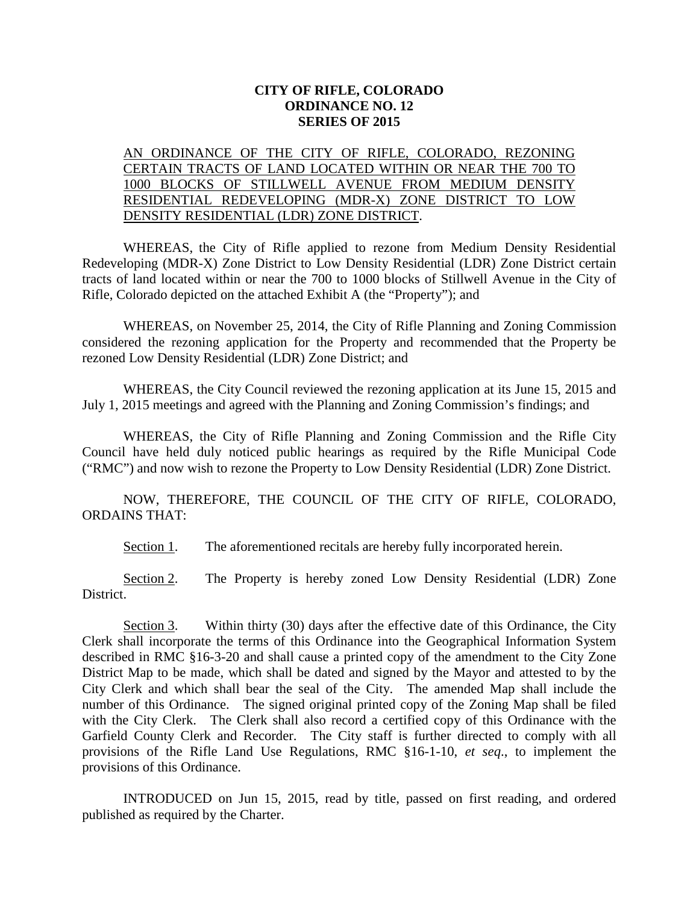## **CITY OF RIFLE, COLORADO ORDINANCE NO. 12 SERIES OF 2015**

## AN ORDINANCE OF THE CITY OF RIFLE, COLORADO, REZONING CERTAIN TRACTS OF LAND LOCATED WITHIN OR NEAR THE 700 TO 1000 BLOCKS OF STILLWELL AVENUE FROM MEDIUM DENSITY RESIDENTIAL REDEVELOPING (MDR-X) ZONE DISTRICT TO LOW DENSITY RESIDENTIAL (LDR) ZONE DISTRICT.

WHEREAS, the City of Rifle applied to rezone from Medium Density Residential Redeveloping (MDR-X) Zone District to Low Density Residential (LDR) Zone District certain tracts of land located within or near the 700 to 1000 blocks of Stillwell Avenue in the City of Rifle, Colorado depicted on the attached Exhibit A (the "Property"); and

WHEREAS, on November 25, 2014, the City of Rifle Planning and Zoning Commission considered the rezoning application for the Property and recommended that the Property be rezoned Low Density Residential (LDR) Zone District; and

WHEREAS, the City Council reviewed the rezoning application at its June 15, 2015 and July 1, 2015 meetings and agreed with the Planning and Zoning Commission's findings; and

WHEREAS, the City of Rifle Planning and Zoning Commission and the Rifle City Council have held duly noticed public hearings as required by the Rifle Municipal Code ("RMC") and now wish to rezone the Property to Low Density Residential (LDR) Zone District.

NOW, THEREFORE, THE COUNCIL OF THE CITY OF RIFLE, COLORADO, ORDAINS THAT:

Section 1. The aforementioned recitals are hereby fully incorporated herein.

Section 2. The Property is hereby zoned Low Density Residential (LDR) Zone District.

Section 3. Within thirty (30) days after the effective date of this Ordinance, the City Clerk shall incorporate the terms of this Ordinance into the Geographical Information System described in RMC §16-3-20 and shall cause a printed copy of the amendment to the City Zone District Map to be made, which shall be dated and signed by the Mayor and attested to by the City Clerk and which shall bear the seal of the City. The amended Map shall include the number of this Ordinance. The signed original printed copy of the Zoning Map shall be filed with the City Clerk. The Clerk shall also record a certified copy of this Ordinance with the Garfield County Clerk and Recorder. The City staff is further directed to comply with all provisions of the Rifle Land Use Regulations, RMC §16-1-10, *et seq*., to implement the provisions of this Ordinance.

INTRODUCED on Jun 15, 2015, read by title, passed on first reading, and ordered published as required by the Charter.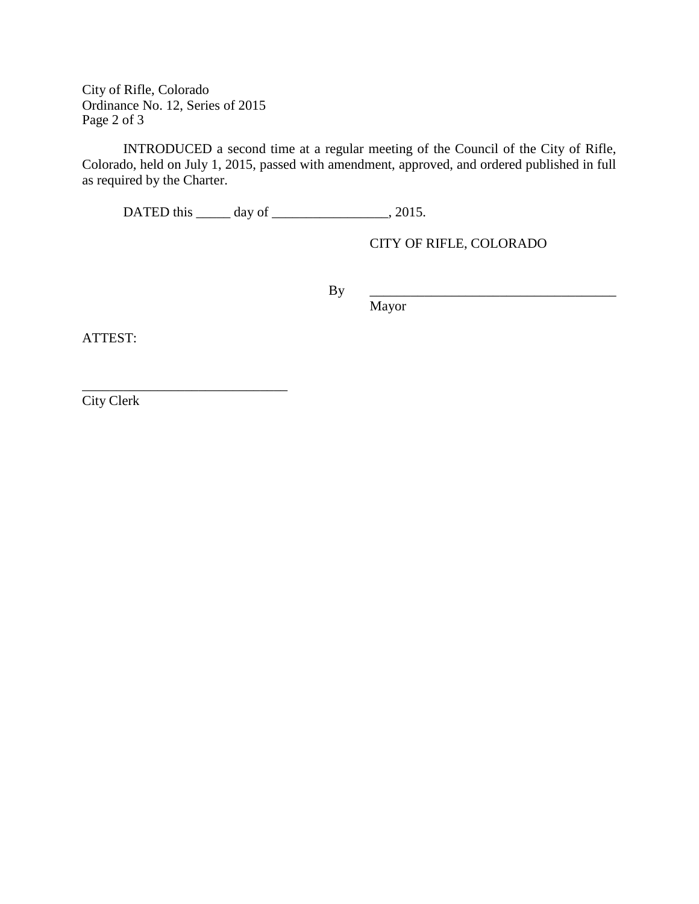City of Rifle, Colorado Ordinance No. 12, Series of 2015 Page 2 of 3

\_\_\_\_\_\_\_\_\_\_\_\_\_\_\_\_\_\_\_\_\_\_\_\_\_\_\_\_\_\_

INTRODUCED a second time at a regular meeting of the Council of the City of Rifle, Colorado, held on July 1, 2015, passed with amendment, approved, and ordered published in full as required by the Charter.

DATED this \_\_\_\_\_\_ day of \_\_\_\_\_\_\_\_\_\_\_\_\_\_\_\_, 2015.

CITY OF RIFLE, COLORADO

By \_\_\_\_\_\_\_\_\_\_\_\_\_\_\_\_\_\_\_\_\_\_\_\_\_\_\_\_\_\_\_\_\_\_\_\_

Mayor

ATTEST:

City Clerk